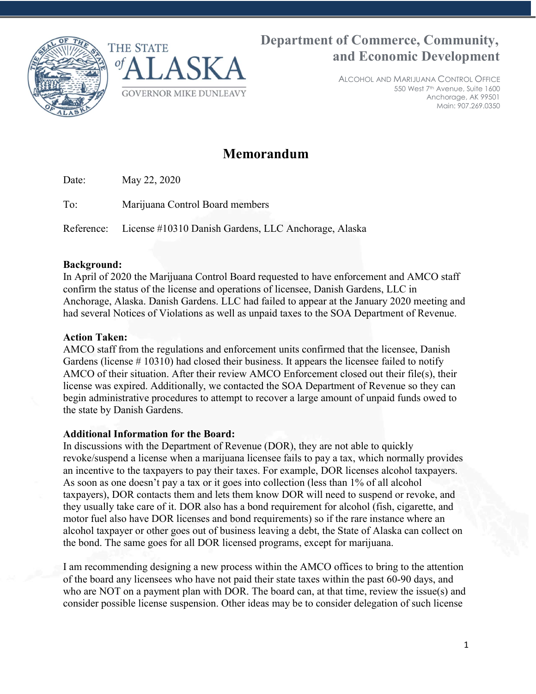



# Department of Commerce, Community, and Economic Development

ALCOHOL AND MARIJUANA CONTROL OFFICE 550 West 7th Avenue, Suite 1600 Anchorage, AK 99501 Main: 907.269.0350

# Memorandum

Date: May 22, 2020

To: Marijuana Control Board members

Reference: License #10310 Danish Gardens, LLC Anchorage, Alaska

#### Background:

In April of 2020 the Marijuana Control Board requested to have enforcement and AMCO staff confirm the status of the license and operations of licensee, Danish Gardens, LLC in Anchorage, Alaska. Danish Gardens. LLC had failed to appear at the January 2020 meeting and had several Notices of Violations as well as unpaid taxes to the SOA Department of Revenue.

## Action Taken:

AMCO staff from the regulations and enforcement units confirmed that the licensee, Danish Gardens (license # 10310) had closed their business. It appears the licensee failed to notify AMCO of their situation. After their review AMCO Enforcement closed out their file(s), their license was expired. Additionally, we contacted the SOA Department of Revenue so they can begin administrative procedures to attempt to recover a large amount of unpaid funds owed to the state by Danish Gardens.

## Additional Information for the Board:

In discussions with the Department of Revenue (DOR), they are not able to quickly revoke/suspend a license when a marijuana licensee fails to pay a tax, which normally provides an incentive to the taxpayers to pay their taxes. For example, DOR licenses alcohol taxpayers. As soon as one doesn't pay a tax or it goes into collection (less than 1% of all alcohol taxpayers), DOR contacts them and lets them know DOR will need to suspend or revoke, and they usually take care of it. DOR also has a bond requirement for alcohol (fish, cigarette, and motor fuel also have DOR licenses and bond requirements) so if the rare instance where an alcohol taxpayer or other goes out of business leaving a debt, the State of Alaska can collect on the bond. The same goes for all DOR licensed programs, except for marijuana.

I am recommending designing a new process within the AMCO offices to bring to the attention of the board any licensees who have not paid their state taxes within the past 60-90 days, and who are NOT on a payment plan with DOR. The board can, at that time, review the issue(s) and consider possible license suspension. Other ideas may be to consider delegation of such license